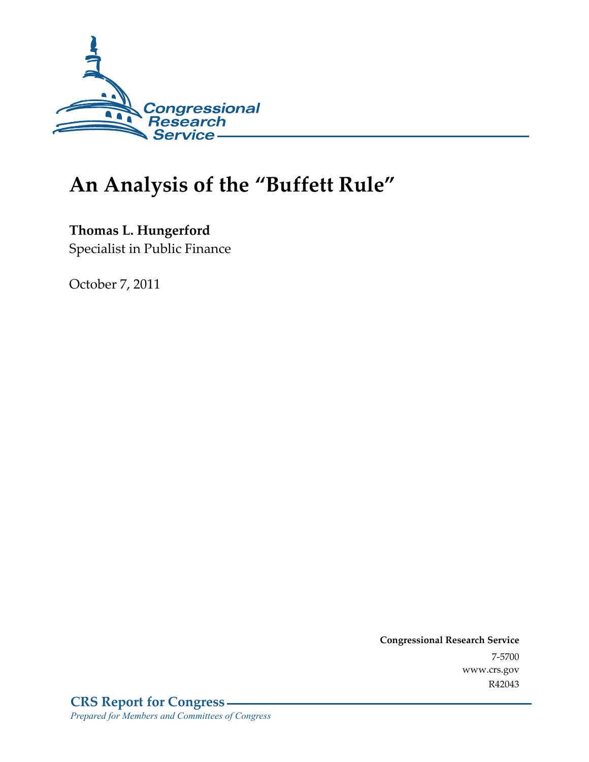

# **An Analysis of the "Buffett Rule"**

**Thomas L. Hungerford** 

Specialist in Public Finance

October 7, 2011

**Congressional Research Service**  7-5700 www.crs.gov R42043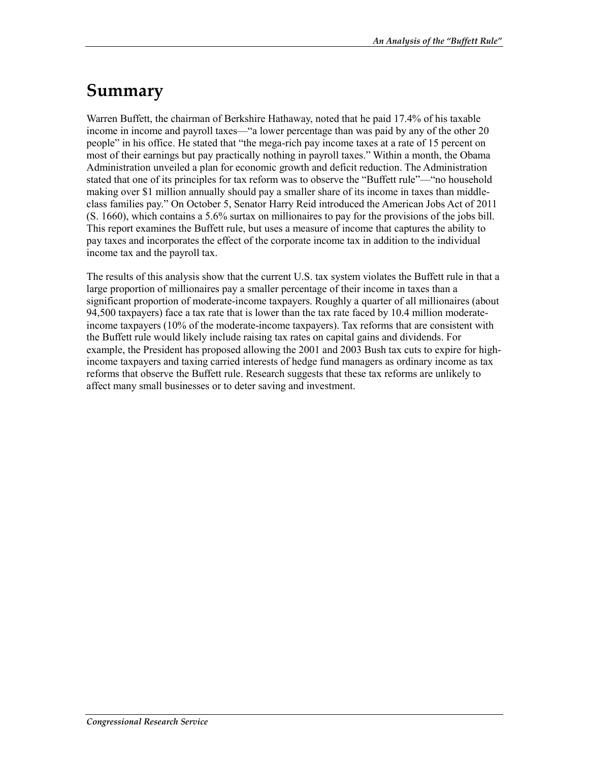# **Summary**

Warren Buffett, the chairman of Berkshire Hathaway, noted that he paid 17.4% of his taxable income in income and payroll taxes—"a lower percentage than was paid by any of the other 20 people" in his office. He stated that "the mega-rich pay income taxes at a rate of 15 percent on most of their earnings but pay practically nothing in payroll taxes." Within a month, the Obama Administration unveiled a plan for economic growth and deficit reduction. The Administration stated that one of its principles for tax reform was to observe the "Buffett rule"—"no household making over \$1 million annually should pay a smaller share of its income in taxes than middleclass families pay." On October 5, Senator Harry Reid introduced the American Jobs Act of 2011 (S. 1660), which contains a 5.6% surtax on millionaires to pay for the provisions of the jobs bill. This report examines the Buffett rule, but uses a measure of income that captures the ability to pay taxes and incorporates the effect of the corporate income tax in addition to the individual income tax and the payroll tax.

The results of this analysis show that the current U.S. tax system violates the Buffett rule in that a large proportion of millionaires pay a smaller percentage of their income in taxes than a significant proportion of moderate-income taxpayers. Roughly a quarter of all millionaires (about 94,500 taxpayers) face a tax rate that is lower than the tax rate faced by 10.4 million moderateincome taxpayers (10% of the moderate-income taxpayers). Tax reforms that are consistent with the Buffett rule would likely include raising tax rates on capital gains and dividends. For example, the President has proposed allowing the 2001 and 2003 Bush tax cuts to expire for highincome taxpayers and taxing carried interests of hedge fund managers as ordinary income as tax reforms that observe the Buffett rule. Research suggests that these tax reforms are unlikely to affect many small businesses or to deter saving and investment.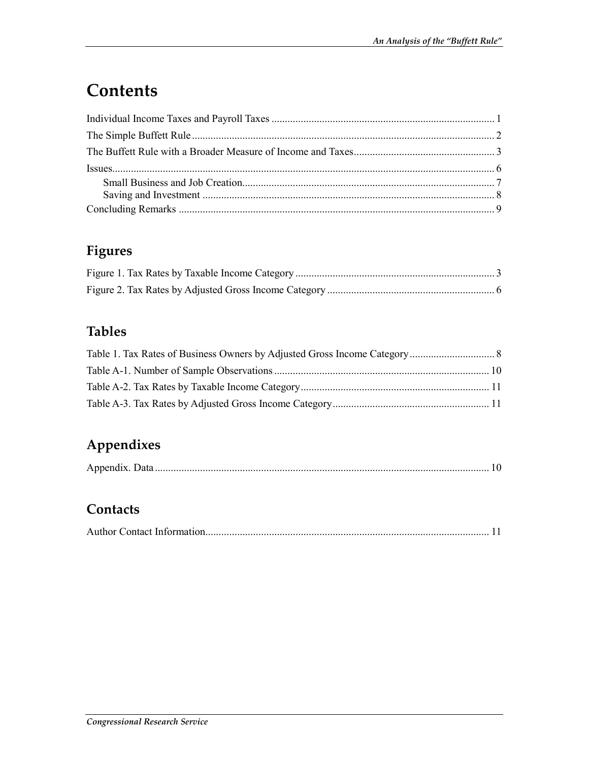# **Contents**

## **Figures**

## **Tables**

## **Appendixes**

### **Contacts**

|--|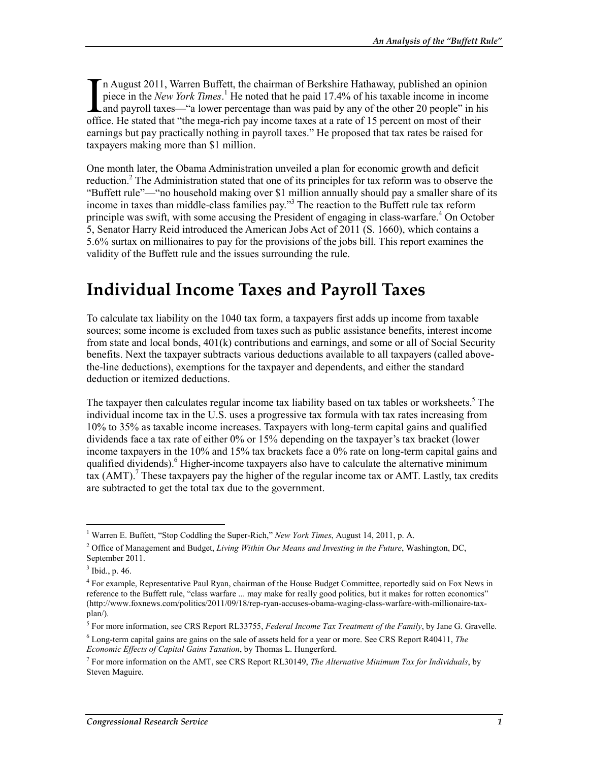n August 2011, Warren Buffett, the chairman of Berkshire Hathaway, published an opinion piece in the *New York Times*.<sup>1</sup> He noted that he paid 17.4% of his taxable income in income In August 2011, Warren Buffett, the chairman of Berkshire Hathaway, published an opinion piece in the *New York Times*.<sup>1</sup> He noted that he paid 17.4% of his taxable income in income and payroll taxes—"a lower percentage office. He stated that "the mega-rich pay income taxes at a rate of 15 percent on most of their earnings but pay practically nothing in payroll taxes." He proposed that tax rates be raised for taxpayers making more than \$1 million.

One month later, the Obama Administration unveiled a plan for economic growth and deficit reduction.<sup>2</sup> The Administration stated that one of its principles for tax reform was to observe the "Buffett rule"—"no household making over \$1 million annually should pay a smaller share of its income in taxes than middle-class families pay."<sup>3</sup> The reaction to the Buffett rule tax reform principle was swift, with some accusing the President of engaging in class-warfare.<sup>4</sup> On October 5, Senator Harry Reid introduced the American Jobs Act of 2011 (S. 1660), which contains a 5.6% surtax on millionaires to pay for the provisions of the jobs bill. This report examines the validity of the Buffett rule and the issues surrounding the rule.

# **Individual Income Taxes and Payroll Taxes**

To calculate tax liability on the 1040 tax form, a taxpayers first adds up income from taxable sources; some income is excluded from taxes such as public assistance benefits, interest income from state and local bonds, 401(k) contributions and earnings, and some or all of Social Security benefits. Next the taxpayer subtracts various deductions available to all taxpayers (called abovethe-line deductions), exemptions for the taxpayer and dependents, and either the standard deduction or itemized deductions.

The taxpayer then calculates regular income tax liability based on tax tables or worksheets.<sup>5</sup> The individual income tax in the U.S. uses a progressive tax formula with tax rates increasing from 10% to 35% as taxable income increases. Taxpayers with long-term capital gains and qualified dividends face a tax rate of either 0% or 15% depending on the taxpayer's tax bracket (lower income taxpayers in the 10% and 15% tax brackets face a 0% rate on long-term capital gains and qualified dividends).<sup>6</sup> Higher-income taxpayers also have to calculate the alternative minimum  $\frac{1}{2}$  tax (AMT).<sup>7</sup> These taxpayers pay the higher of the regular income tax or AMT. Lastly, tax credits are subtracted to get the total tax due to the government.

 1 Warren E. Buffett, "Stop Coddling the Super-Rich," *New York Times*, August 14, 2011, p. A.

<sup>2</sup> Office of Management and Budget, *Living Within Our Means and Investing in the Future*, Washington, DC, September 2011.

 $3$  Ibid., p. 46.

<sup>&</sup>lt;sup>4</sup> For example, Representative Paul Ryan, chairman of the House Budget Committee, reportedly said on Fox News in reference to the Buffett rule, "class warfare ... may make for really good politics, but it makes for rotten economics" (http://www.foxnews.com/politics/2011/09/18/rep-ryan-accuses-obama-waging-class-warfare-with-millionaire-taxplan/).

<sup>5</sup> For more information, see CRS Report RL33755, *Federal Income Tax Treatment of the Family*, by Jane G. Gravelle.

<sup>6</sup> Long-term capital gains are gains on the sale of assets held for a year or more. See CRS Report R40411, *The Economic Effects of Capital Gains Taxation*, by Thomas L. Hungerford.

<sup>7</sup> For more information on the AMT, see CRS Report RL30149, *The Alternative Minimum Tax for Individuals*, by Steven Maguire.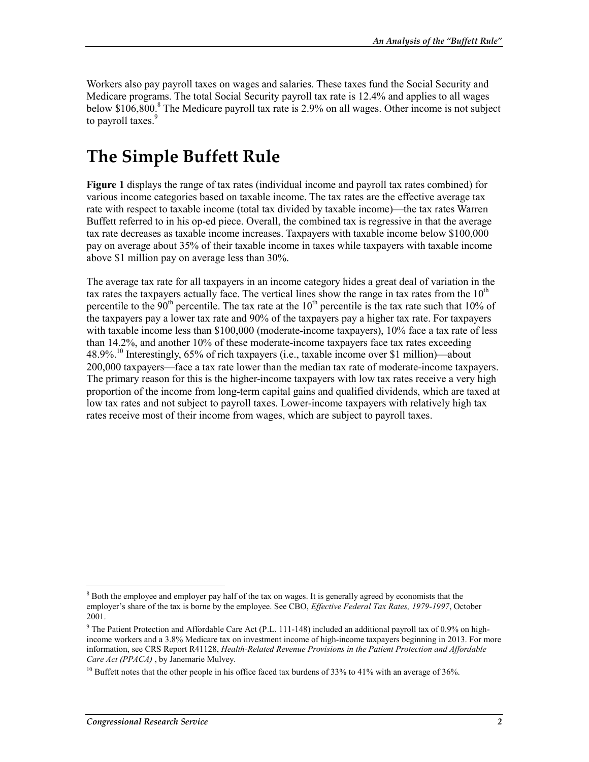Workers also pay payroll taxes on wages and salaries. These taxes fund the Social Security and Medicare programs. The total Social Security payroll tax rate is 12.4% and applies to all wages below \$106,800.<sup>8</sup> The Medicare payroll tax rate is 2.9% on all wages. Other income is not subject to payroll taxes.<sup>9</sup>

# **The Simple Buffett Rule**

**Figure 1** displays the range of tax rates (individual income and payroll tax rates combined) for various income categories based on taxable income. The tax rates are the effective average tax rate with respect to taxable income (total tax divided by taxable income)—the tax rates Warren Buffett referred to in his op-ed piece. Overall, the combined tax is regressive in that the average tax rate decreases as taxable income increases. Taxpayers with taxable income below \$100,000 pay on average about 35% of their taxable income in taxes while taxpayers with taxable income above \$1 million pay on average less than 30%.

The average tax rate for all taxpayers in an income category hides a great deal of variation in the tax rates the taxpayers actually face. The vertical lines show the range in tax rates from the  $10<sup>th</sup>$ percentile to the 90<sup>th</sup> percentile. The tax rate at the  $10<sup>th</sup>$  percentile is the tax rate such that 10% of the taxpayers pay a lower tax rate and 90% of the taxpayers pay a higher tax rate. For taxpayers with taxable income less than \$100,000 (moderate-income taxpayers), 10% face a tax rate of less than 14.2%, and another 10% of these moderate-income taxpayers face tax rates exceeding 48.9%.<sup>10</sup> Interestingly, 65% of rich taxpayers (i.e., taxable income over \$1 million)—about 200,000 taxpayers—face a tax rate lower than the median tax rate of moderate-income taxpayers. The primary reason for this is the higher-income taxpayers with low tax rates receive a very high proportion of the income from long-term capital gains and qualified dividends, which are taxed at low tax rates and not subject to payroll taxes. Lower-income taxpayers with relatively high tax rates receive most of their income from wages, which are subject to payroll taxes.

<sup>&</sup>lt;sup>8</sup> Both the employee and employer pay half of the tax on wages. It is generally agreed by economists that the employer's share of the tax is borne by the employee. See CBO, *Effective Federal Tax Rates, 1979-1997*, October 2001.

<sup>&</sup>lt;sup>9</sup> The Patient Protection and Affordable Care Act (P.L. 111-148) included an additional payroll tax of 0.9% on highincome workers and a 3.8% Medicare tax on investment income of high-income taxpayers beginning in 2013. For more information, see CRS Report R41128, *Health-Related Revenue Provisions in the Patient Protection and Affordable Care Act (PPACA)* , by Janemarie Mulvey.

<sup>&</sup>lt;sup>10</sup> Buffett notes that the other people in his office faced tax burdens of 33% to 41% with an average of 36%.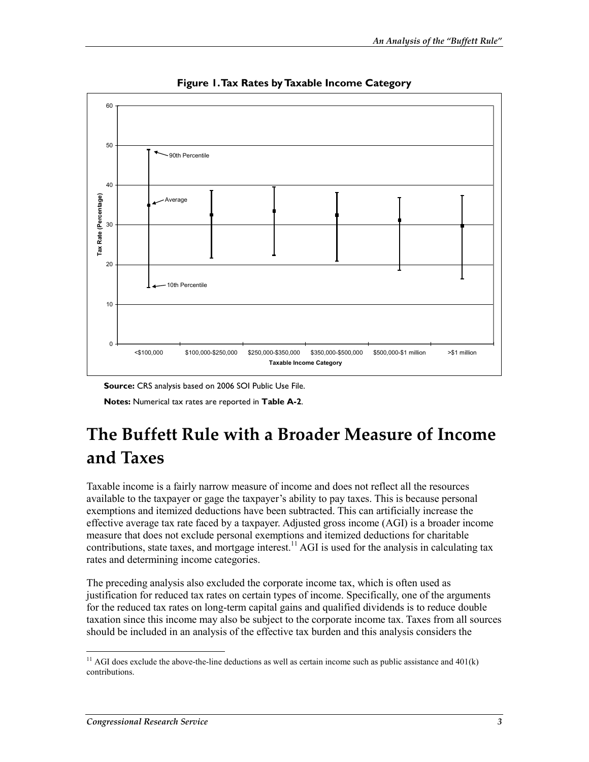

**Figure 1. Tax Rates by Taxable Income Category** 

**Source:** CRS analysis based on 2006 SOI Public Use File.

**Notes:** Numerical tax rates are reported in **Table A-2**.

# **The Buffett Rule with a Broader Measure of Income and Taxes**

Taxable income is a fairly narrow measure of income and does not reflect all the resources available to the taxpayer or gage the taxpayer's ability to pay taxes. This is because personal exemptions and itemized deductions have been subtracted. This can artificially increase the effective average tax rate faced by a taxpayer. Adjusted gross income (AGI) is a broader income measure that does not exclude personal exemptions and itemized deductions for charitable contributions, state taxes, and mortgage interest.<sup>11</sup> AGI is used for the analysis in calculating tax rates and determining income categories.

The preceding analysis also excluded the corporate income tax, which is often used as justification for reduced tax rates on certain types of income. Specifically, one of the arguments for the reduced tax rates on long-term capital gains and qualified dividends is to reduce double taxation since this income may also be subject to the corporate income tax. Taxes from all sources should be included in an analysis of the effective tax burden and this analysis considers the

<sup>1</sup> <sup>11</sup> AGI does exclude the above-the-line deductions as well as certain income such as public assistance and  $401(k)$ contributions.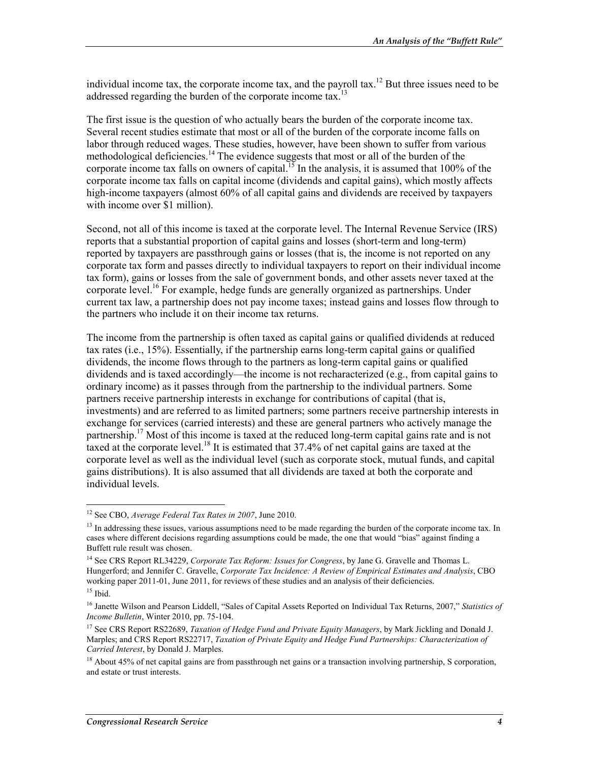individual income tax, the corporate income tax, and the payroll tax.<sup>12</sup> But three issues need to be addressed regarding the burden of the corporate income tax.<sup>13</sup>

The first issue is the question of who actually bears the burden of the corporate income tax. Several recent studies estimate that most or all of the burden of the corporate income falls on labor through reduced wages. These studies, however, have been shown to suffer from various methodological deficiencies.<sup>14</sup> The evidence suggests that most or all of the burden of the corporate income tax falls on owners of capital.<sup>15</sup> In the analysis, it is assumed that 100% of the corporate income tax falls on capital income (dividends and capital gains), which mostly affects high-income taxpayers (almost 60% of all capital gains and dividends are received by taxpayers with income over \$1 million).

Second, not all of this income is taxed at the corporate level. The Internal Revenue Service (IRS) reports that a substantial proportion of capital gains and losses (short-term and long-term) reported by taxpayers are passthrough gains or losses (that is, the income is not reported on any corporate tax form and passes directly to individual taxpayers to report on their individual income tax form), gains or losses from the sale of government bonds, and other assets never taxed at the corporate level.<sup>16</sup> For example, hedge funds are generally organized as partnerships. Under current tax law, a partnership does not pay income taxes; instead gains and losses flow through to the partners who include it on their income tax returns.

The income from the partnership is often taxed as capital gains or qualified dividends at reduced tax rates (i.e., 15%). Essentially, if the partnership earns long-term capital gains or qualified dividends, the income flows through to the partners as long-term capital gains or qualified dividends and is taxed accordingly—the income is not recharacterized (e.g., from capital gains to ordinary income) as it passes through from the partnership to the individual partners. Some partners receive partnership interests in exchange for contributions of capital (that is, investments) and are referred to as limited partners; some partners receive partnership interests in exchange for services (carried interests) and these are general partners who actively manage the partnership.<sup>17</sup> Most of this income is taxed at the reduced long-term capital gains rate and is not taxed at the corporate level.<sup>18</sup> It is estimated that 37.4% of net capital gains are taxed at the corporate level as well as the individual level (such as corporate stock, mutual funds, and capital gains distributions). It is also assumed that all dividends are taxed at both the corporate and individual levels.

<sup>12</sup> See CBO, *Average Federal Tax Rates in 2007*, June 2010.

<sup>&</sup>lt;sup>13</sup> In addressing these issues, various assumptions need to be made regarding the burden of the corporate income tax. In cases where different decisions regarding assumptions could be made, the one that would "bias" against finding a Buffett rule result was chosen.

<sup>14</sup> See CRS Report RL34229, *Corporate Tax Reform: Issues for Congress*, by Jane G. Gravelle and Thomas L. Hungerford; and Jennifer C. Gravelle, *Corporate Tax Incidence: A Review of Empirical Estimates and Analysis*, CBO working paper 2011-01, June 2011, for reviews of these studies and an analysis of their deficiencies.  $15$  Ibid.

<sup>16</sup> Janette Wilson and Pearson Liddell, "Sales of Capital Assets Reported on Individual Tax Returns, 2007," *Statistics of Income Bulletin*, Winter 2010, pp. 75-104.

<sup>17</sup> See CRS Report RS22689, *Taxation of Hedge Fund and Private Equity Managers*, by Mark Jickling and Donald J. Marples; and CRS Report RS22717, *Taxation of Private Equity and Hedge Fund Partnerships: Characterization of Carried Interest*, by Donald J. Marples.

<sup>&</sup>lt;sup>18</sup> About 45% of net capital gains are from passthrough net gains or a transaction involving partnership, S corporation, and estate or trust interests.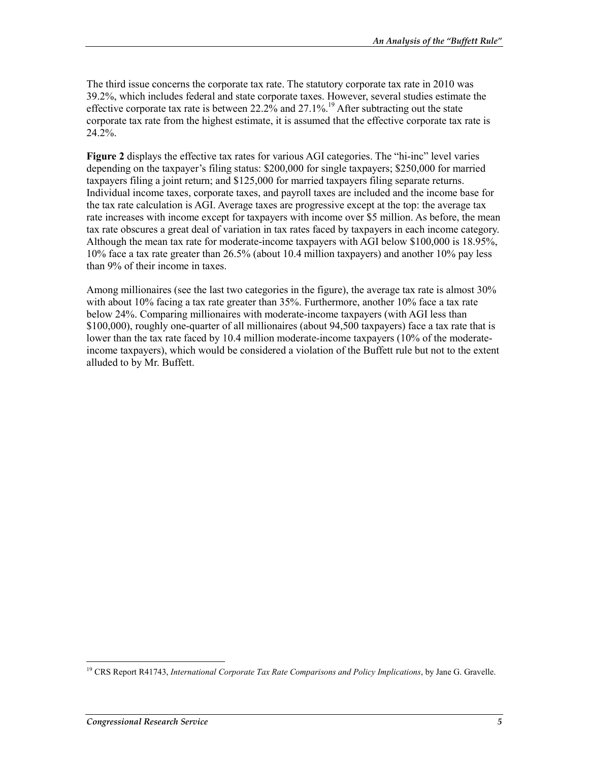The third issue concerns the corporate tax rate. The statutory corporate tax rate in 2010 was 39.2%, which includes federal and state corporate taxes. However, several studies estimate the effective corporate tax rate is between 22.2% and 27.1%.<sup>19</sup> After subtracting out the state corporate tax rate from the highest estimate, it is assumed that the effective corporate tax rate is 24.2%.

**Figure 2** displays the effective tax rates for various AGI categories. The "hi-inc" level varies depending on the taxpayer's filing status: \$200,000 for single taxpayers; \$250,000 for married taxpayers filing a joint return; and \$125,000 for married taxpayers filing separate returns. Individual income taxes, corporate taxes, and payroll taxes are included and the income base for the tax rate calculation is AGI. Average taxes are progressive except at the top: the average tax rate increases with income except for taxpayers with income over \$5 million. As before, the mean tax rate obscures a great deal of variation in tax rates faced by taxpayers in each income category. Although the mean tax rate for moderate-income taxpayers with AGI below \$100,000 is 18.95%, 10% face a tax rate greater than 26.5% (about 10.4 million taxpayers) and another 10% pay less than 9% of their income in taxes.

Among millionaires (see the last two categories in the figure), the average tax rate is almost 30% with about 10% facing a tax rate greater than 35%. Furthermore, another 10% face a tax rate below 24%. Comparing millionaires with moderate-income taxpayers (with AGI less than \$100,000), roughly one-quarter of all millionaires (about 94,500 taxpayers) face a tax rate that is lower than the tax rate faced by 10.4 million moderate-income taxpayers (10% of the moderateincome taxpayers), which would be considered a violation of the Buffett rule but not to the extent alluded to by Mr. Buffett.

<sup>&</sup>lt;u>.</u> <sup>19</sup> CRS Report R41743, *International Corporate Tax Rate Comparisons and Policy Implications*, by Jane G. Gravelle.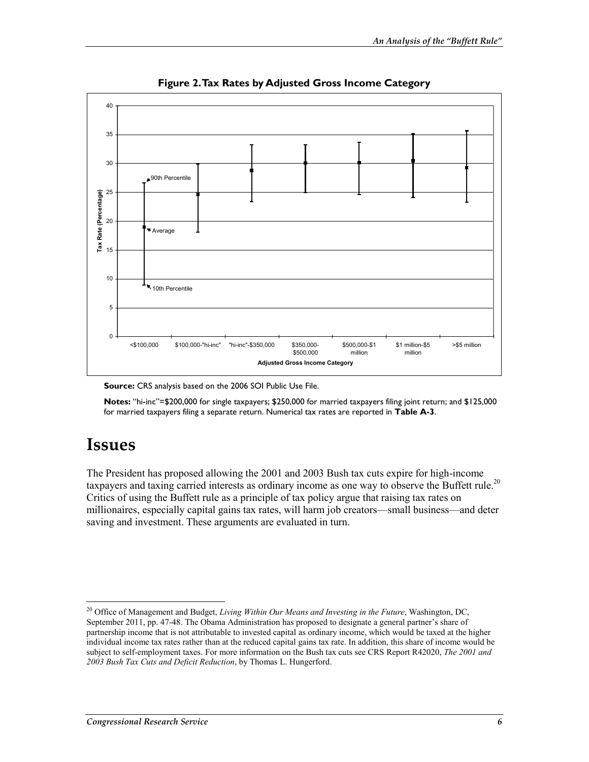

**Figure 2. Tax Rates by Adjusted Gross Income Category** 

**Source:** CRS analysis based on the 2006 SOI Public Use File.

**Notes:** "hi-inc"=\$200,000 for single taxpayers; \$250,000 for married taxpayers filing joint return; and \$125,000 for married taxpayers filing a separate return. Numerical tax rates are reported in **Table A-3**.

## **Issues**

The President has proposed allowing the 2001 and 2003 Bush tax cuts expire for high-income taxpayers and taxing carried interests as ordinary income as one way to observe the Buffett rule.<sup>20</sup> Critics of using the Buffett rule as a principle of tax policy argue that raising tax rates on millionaires, especially capital gains tax rates, will harm job creators—small business—and deter saving and investment. These arguments are evaluated in turn.

<sup>1</sup> 20 Office of Management and Budget, *Living Within Our Means and Investing in the Future*, Washington, DC, September 2011, pp. 47-48. The Obama Administration has proposed to designate a general partner's share of partnership income that is not attributable to invested capital as ordinary income, which would be taxed at the higher individual income tax rates rather than at the reduced capital gains tax rate. In addition, this share of income would be subject to self-employment taxes. For more information on the Bush tax cuts see CRS Report R42020, *The 2001 and 2003 Bush Tax Cuts and Deficit Reduction*, by Thomas L. Hungerford.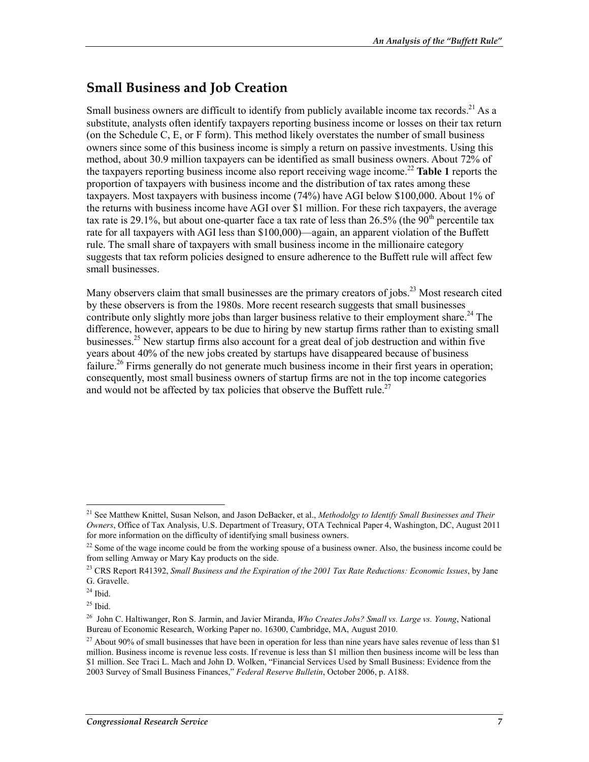### **Small Business and Job Creation**

Small business owners are difficult to identify from publicly available income tax records.<sup>21</sup> As a substitute, analysts often identify taxpayers reporting business income or losses on their tax return (on the Schedule C, E, or F form). This method likely overstates the number of small business owners since some of this business income is simply a return on passive investments. Using this method, about 30.9 million taxpayers can be identified as small business owners. About 72% of the taxpayers reporting business income also report receiving wage income.22 **Table 1** reports the proportion of taxpayers with business income and the distribution of tax rates among these taxpayers. Most taxpayers with business income (74%) have AGI below \$100,000. About 1% of the returns with business income have AGI over \$1 million. For these rich taxpayers, the average tax rate is 29.1%, but about one-quarter face a tax rate of less than 26.5% (the 90<sup>th</sup> percentile tax rate for all taxpayers with AGI less than \$100,000)—again, an apparent violation of the Buffett rule. The small share of taxpayers with small business income in the millionaire category suggests that tax reform policies designed to ensure adherence to the Buffett rule will affect few small businesses.

Many observers claim that small businesses are the primary creators of jobs.<sup>23</sup> Most research cited by these observers is from the 1980s. More recent research suggests that small businesses contribute only slightly more jobs than larger business relative to their employment share.<sup>24</sup> The difference, however, appears to be due to hiring by new startup firms rather than to existing small businesses.<sup>25</sup> New startup firms also account for a great deal of job destruction and within five years about 40% of the new jobs created by startups have disappeared because of business failure.<sup>26</sup> Firms generally do not generate much business income in their first years in operation; consequently, most small business owners of startup firms are not in the top income categories and would not be affected by tax policies that observe the Buffett rule.<sup>27</sup>

<sup>21</sup> See Matthew Knittel, Susan Nelson, and Jason DeBacker, et al., *Methodolgy to Identify Small Businesses and Their Owners*, Office of Tax Analysis, U.S. Department of Treasury, OTA Technical Paper 4, Washington, DC, August 2011 for more information on the difficulty of identifying small business owners.

 $22$  Some of the wage income could be from the working spouse of a business owner. Also, the business income could be from selling Amway or Mary Kay products on the side.

<sup>23</sup> CRS Report R41392, *Small Business and the Expiration of the 2001 Tax Rate Reductions: Economic Issues*, by Jane G. Gravelle.

 $24$  Ibid.

 $25$  Ibid.

<sup>26</sup> John C. Haltiwanger, Ron S. Jarmin, and Javier Miranda, *Who Creates Jobs? Small vs. Large vs. Young*, National Bureau of Economic Research, Working Paper no. 16300, Cambridge, MA, August 2010.

<sup>&</sup>lt;sup>27</sup> About 90% of small businesses that have been in operation for less than nine years have sales revenue of less than \$1 million. Business income is revenue less costs. If revenue is less than \$1 million then business income will be less than \$1 million. See Traci L. Mach and John D. Wolken, "Financial Services Used by Small Business: Evidence from the 2003 Survey of Small Business Finances," *Federal Reserve Bulletin*, October 2006, p. A188.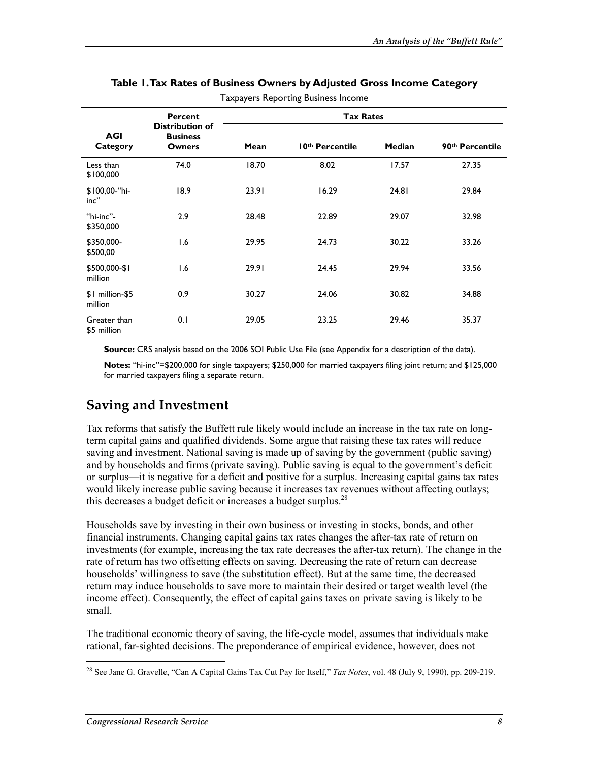|                             | Percent                                             | <b>Tax Rates</b> |                 |               |                 |
|-----------------------------|-----------------------------------------------------|------------------|-----------------|---------------|-----------------|
| <b>AGI</b><br>Category      | <b>Distribution of</b><br><b>Business</b><br>Owners | Mean             | 10th Percentile | <b>Median</b> | 90th Percentile |
| Less than<br>\$100,000      | 74.0                                                | 18.70            | 8.02            | 17.57         | 27.35           |
| \$100,00-"hi-<br>$inc$ "    | 18.9                                                | 23.91            | 16.29           | 24.81         | 29.84           |
| "hi-inc"-<br>\$350,000      | 2.9                                                 | 28.48            | 22.89           | 29.07         | 32.98           |
| \$350,000-<br>\$500,00      | 1.6                                                 | 29.95            | 24.73           | 30.22         | 33.26           |
| \$500,000-\$1<br>million    | 1.6                                                 | 29.91            | 24.45           | 29.94         | 33.56           |
| \$1 million-\$5<br>million  | 0.9                                                 | 30.27            | 24.06           | 30.82         | 34.88           |
| Greater than<br>\$5 million | 0.1                                                 | 29.05            | 23.25           | 29.46         | 35.37           |

#### **Table 1. Tax Rates of Business Owners by Adjusted Gross Income Category**  Taxpayers Reporting Business Income

**Source:** CRS analysis based on the 2006 SOI Public Use File (see Appendix for a description of the data).

**Notes:** "hi-inc"=\$200,000 for single taxpayers; \$250,000 for married taxpayers filing joint return; and \$125,000 for married taxpayers filing a separate return.

#### **Saving and Investment**

Tax reforms that satisfy the Buffett rule likely would include an increase in the tax rate on longterm capital gains and qualified dividends. Some argue that raising these tax rates will reduce saving and investment. National saving is made up of saving by the government (public saving) and by households and firms (private saving). Public saving is equal to the government's deficit or surplus—it is negative for a deficit and positive for a surplus. Increasing capital gains tax rates would likely increase public saving because it increases tax revenues without affecting outlays; this decreases a budget deficit or increases a budget surplus.<sup>28</sup>

Households save by investing in their own business or investing in stocks, bonds, and other financial instruments. Changing capital gains tax rates changes the after-tax rate of return on investments (for example, increasing the tax rate decreases the after-tax return). The change in the rate of return has two offsetting effects on saving. Decreasing the rate of return can decrease households' willingness to save (the substitution effect). But at the same time, the decreased return may induce households to save more to maintain their desired or target wealth level (the income effect). Consequently, the effect of capital gains taxes on private saving is likely to be small.

The traditional economic theory of saving, the life-cycle model, assumes that individuals make rational, far-sighted decisions. The preponderance of empirical evidence, however, does not

<sup>&</sup>lt;u>.</u> 28 See Jane G. Gravelle, "Can A Capital Gains Tax Cut Pay for Itself," *Tax Notes*, vol. 48 (July 9, 1990), pp. 209-219.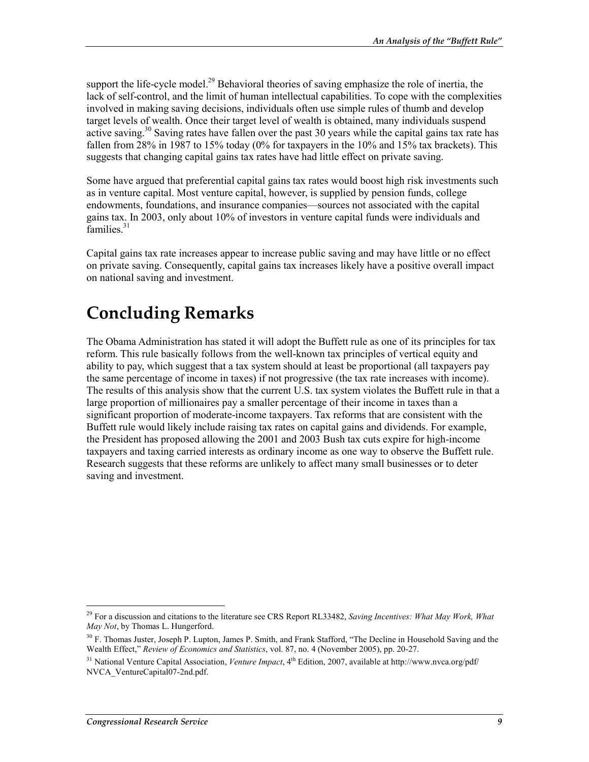support the life-cycle model.<sup>29</sup> Behavioral theories of saving emphasize the role of inertia, the lack of self-control, and the limit of human intellectual capabilities. To cope with the complexities involved in making saving decisions, individuals often use simple rules of thumb and develop target levels of wealth. Once their target level of wealth is obtained, many individuals suspend active saving.<sup>30</sup> Saving rates have fallen over the past 30 years while the capital gains tax rate has fallen from 28% in 1987 to 15% today  $(0\%$  for taxpayers in the 10% and 15% tax brackets). This suggests that changing capital gains tax rates have had little effect on private saving.

Some have argued that preferential capital gains tax rates would boost high risk investments such as in venture capital. Most venture capital, however, is supplied by pension funds, college endowments, foundations, and insurance companies—sources not associated with the capital gains tax. In 2003, only about 10% of investors in venture capital funds were individuals and  $5$ amilies.<sup>31</sup>

Capital gains tax rate increases appear to increase public saving and may have little or no effect on private saving. Consequently, capital gains tax increases likely have a positive overall impact on national saving and investment.

# **Concluding Remarks**

The Obama Administration has stated it will adopt the Buffett rule as one of its principles for tax reform. This rule basically follows from the well-known tax principles of vertical equity and ability to pay, which suggest that a tax system should at least be proportional (all taxpayers pay the same percentage of income in taxes) if not progressive (the tax rate increases with income). The results of this analysis show that the current U.S. tax system violates the Buffett rule in that a large proportion of millionaires pay a smaller percentage of their income in taxes than a significant proportion of moderate-income taxpayers. Tax reforms that are consistent with the Buffett rule would likely include raising tax rates on capital gains and dividends. For example, the President has proposed allowing the 2001 and 2003 Bush tax cuts expire for high-income taxpayers and taxing carried interests as ordinary income as one way to observe the Buffett rule. Research suggests that these reforms are unlikely to affect many small businesses or to deter saving and investment.

<sup>29</sup> For a discussion and citations to the literature see CRS Report RL33482, *Saving Incentives: What May Work, What May Not*, by Thomas L. Hungerford.

<sup>&</sup>lt;sup>30</sup> F. Thomas Juster, Joseph P. Lupton, James P. Smith, and Frank Stafford, "The Decline in Household Saving and the Wealth Effect," *Review of Economics and Statistics*, vol. 87, no. 4 (November 2005), pp. 20-27.

<sup>&</sup>lt;sup>31</sup> National Venture Capital Association, *Venture Impact*, 4<sup>th</sup> Edition, 2007, available at http://www.nvca.org/pdf/ NVCA\_VentureCapital07-2nd.pdf.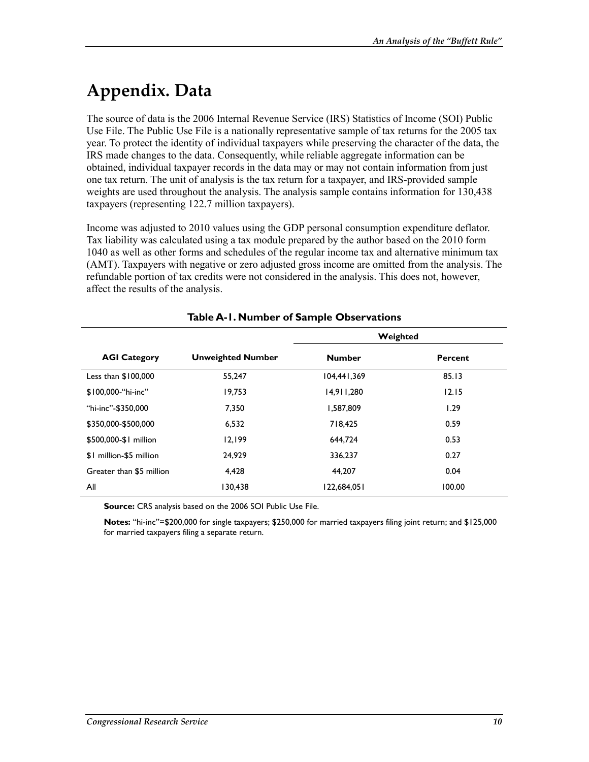# **Appendix. Data**

The source of data is the 2006 Internal Revenue Service (IRS) Statistics of Income (SOI) Public Use File. The Public Use File is a nationally representative sample of tax returns for the 2005 tax year. To protect the identity of individual taxpayers while preserving the character of the data, the IRS made changes to the data. Consequently, while reliable aggregate information can be obtained, individual taxpayer records in the data may or may not contain information from just one tax return. The unit of analysis is the tax return for a taxpayer, and IRS-provided sample weights are used throughout the analysis. The analysis sample contains information for 130,438 taxpayers (representing 122.7 million taxpayers).

Income was adjusted to 2010 values using the GDP personal consumption expenditure deflator. Tax liability was calculated using a tax module prepared by the author based on the 2010 form 1040 as well as other forms and schedules of the regular income tax and alternative minimum tax (AMT). Taxpayers with negative or zero adjusted gross income are omitted from the analysis. The refundable portion of tax credits were not considered in the analysis. This does not, however, affect the results of the analysis.

|                          |                          | Weighted      |         |  |
|--------------------------|--------------------------|---------------|---------|--|
| <b>AGI Category</b>      | <b>Unweighted Number</b> | <b>Number</b> | Percent |  |
| Less than $$100,000$     | 55,247                   | 104,441,369   | 85.13   |  |
| \$100,000-"hi-inc"       | 19.753                   | 14,911,280    | 12.15   |  |
| "hi-inc"-\$350,000       | 7.350                    | 1.587.809     | 1.29    |  |
| \$350,000-\$500,000      | 6,532                    | 718.425       | 0.59    |  |
| \$500,000-\$1 million    | 12.199                   | 644.724       | 0.53    |  |
| \$1 million-\$5 million  | 24.929                   | 336,237       | 0.27    |  |
| Greater than \$5 million | 4.428                    | 44.207        | 0.04    |  |
| All                      | 130.438                  | 122,684,051   | 100.00  |  |

#### **Table A-1. Number of Sample Observations**

**Source:** CRS analysis based on the 2006 SOI Public Use File.

**Notes:** "hi-inc"=\$200,000 for single taxpayers; \$250,000 for married taxpayers filing joint return; and \$125,000 for married taxpayers filing a separate return.